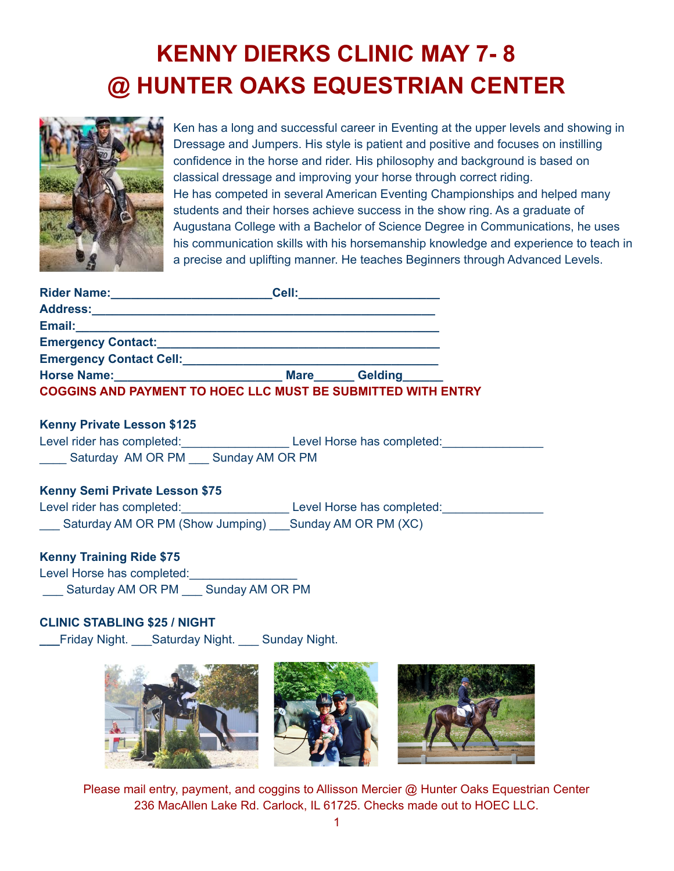# **KENNY DIERKS CLINIC MAY 7- 8 @ HUNTER OAKS EQUESTRIAN CENTER**



Ken has a long and successful career in Eventing at the upper levels and showing in Dressage and Jumpers. His style is patient and positive and focuses on instilling confidence in the horse and rider. His philosophy and background is based on classical dressage and improving your horse through correct riding. He has competed in several American Eventing Championships and helped many students and their horses achieve success in the show ring. As a graduate of Augustana College with a Bachelor of Science Degree in Communications, he uses his communication skills with his horsemanship knowledge and experience to teach in a precise and uplifting manner. He teaches Beginners through Advanced Levels.

| <b>Rider Name:</b>                                                  | Cell:       |                |
|---------------------------------------------------------------------|-------------|----------------|
| <b>Address:</b>                                                     |             |                |
| Email:                                                              |             |                |
| <b>Emergency Contact:</b>                                           |             |                |
| <b>Emergency Contact Cell:</b>                                      |             |                |
| <b>Horse Name:</b>                                                  | <b>Mare</b> | <b>Gelding</b> |
| <b>COGGINS AND PAYMENT TO HOEC LLC MUST BE SUBMITTED WITH ENTRY</b> |             |                |

#### **Kenny Private Lesson \$125**

Level rider has completed: Level Horse has completed: Saturday AM OR PM Sunday AM OR PM

### **Kenny Semi Private Lesson \$75**

Level rider has completed:<br>Level Horse has completed: \_\_\_ Saturday AM OR PM (Show Jumping) \_\_\_Sunday AM OR PM (XC)

### **Kenny Training Ride \$75**

Level Horse has completed: \_\_\_ Saturday AM OR PM \_\_\_ Sunday AM OR PM

### **CLINIC STABLING \$25 / NIGHT**

**\_\_\_**Friday Night. \_\_\_Saturday Night. \_\_\_ Sunday Night.



Please mail entry, payment, and coggins to Allisson Mercier @ Hunter Oaks Equestrian Center 236 MacAllen Lake Rd. Carlock, IL 61725. Checks made out to HOEC LLC.